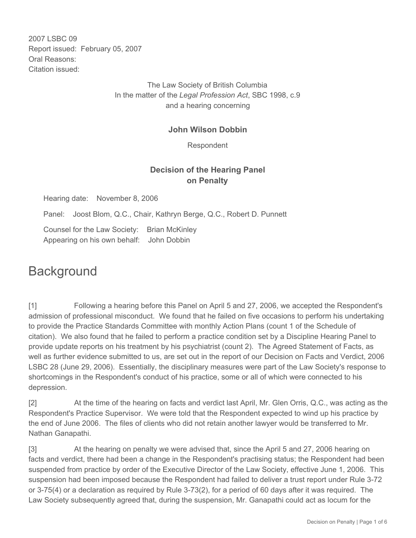2007 LSBC 09 Report issued: February 05, 2007 Oral Reasons: Citation issued:

> The Law Society of British Columbia In the matter of the *Legal Profession Act*, SBC 1998, c.9 and a hearing concerning

### **John Wilson Dobbin**

Respondent

## **Decision of the Hearing Panel on Penalty**

Hearing date: November 8, 2006

Panel: Joost Blom, Q.C., Chair, Kathryn Berge, Q.C., Robert D. Punnett

Counsel for the Law Society: Brian McKinley Appearing on his own behalf: John Dobbin

# **Background**

[1] Following a hearing before this Panel on April 5 and 27, 2006, we accepted the Respondent's admission of professional misconduct. We found that he failed on five occasions to perform his undertaking to provide the Practice Standards Committee with monthly Action Plans (count 1 of the Schedule of citation). We also found that he failed to perform a practice condition set by a Discipline Hearing Panel to provide update reports on his treatment by his psychiatrist (count 2). The Agreed Statement of Facts, as well as further evidence submitted to us, are set out in the report of our Decision on Facts and Verdict, 2006 LSBC 28 (June 29, 2006). Essentially, the disciplinary measures were part of the Law Society's response to shortcomings in the Respondent's conduct of his practice, some or all of which were connected to his depression.

[2] At the time of the hearing on facts and verdict last April, Mr. Glen Orris, Q.C., was acting as the Respondent's Practice Supervisor. We were told that the Respondent expected to wind up his practice by the end of June 2006. The files of clients who did not retain another lawyer would be transferred to Mr. Nathan Ganapathi.

[3] At the hearing on penalty we were advised that, since the April 5 and 27, 2006 hearing on facts and verdict, there had been a change in the Respondent's practising status; the Respondent had been suspended from practice by order of the Executive Director of the Law Society, effective June 1, 2006. This suspension had been imposed because the Respondent had failed to deliver a trust report under Rule 3-72 or 3-75(4) or a declaration as required by Rule 3-73(2), for a period of 60 days after it was required. The Law Society subsequently agreed that, during the suspension, Mr. Ganapathi could act as locum for the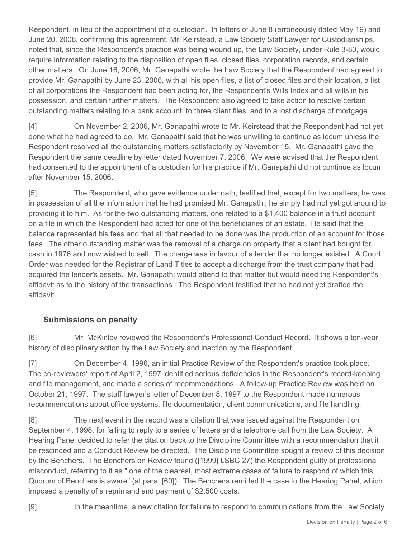Respondent, in lieu of the appointment of a custodian. In letters of June 8 (erroneously dated May 19) and June 20, 2006, confirming this agreement, Mr. Keirstead, a Law Society Staff Lawyer for Custodianships, noted that, since the Respondent's practice was being wound up, the Law Society, under Rule 3-80, would require information relating to the disposition of open files, closed files, corporation records, and certain other matters. On June 16, 2006, Mr. Ganapathi wrote the Law Society that the Respondent had agreed to provide Mr. Ganapathi by June 23, 2006, with all his open files, a list of closed files and their location, a list of all corporations the Respondent had been acting for, the Respondent's Wills Index and all wills in his possession, and certain further matters. The Respondent also agreed to take action to resolve certain outstanding matters relating to a bank account, to three client files, and to a lost discharge of mortgage.

[4] On November 2, 2006, Mr. Ganapathi wrote to Mr. Keirstead that the Respondent had not yet done what he had agreed to do. Mr. Ganapathi said that he was unwilling to continue as locum unless the Respondent resolved all the outstanding matters satisfactorily by November 15. Mr. Ganapathi gave the Respondent the same deadline by letter dated November 7, 2006. We were advised that the Respondent had consented to the appointment of a custodian for his practice if Mr. Ganapathi did not continue as locum after November 15, 2006.

[5] The Respondent, who gave evidence under oath, testified that, except for two matters, he was in possession of all the information that he had promised Mr. Ganapathi; he simply had not yet got around to providing it to him. As for the two outstanding matters, one related to a \$1,400 balance in a trust account on a file in which the Respondent had acted for one of the beneficiaries of an estate. He said that the balance represented his fees and that all that needed to be done was the production of an account for those fees. The other outstanding matter was the removal of a charge on property that a client had bought for cash in 1976 and now wished to sell. The charge was in favour of a lender that no longer existed. A Court Order was needed for the Registrar of Land Titles to accept a discharge from the trust company that had acquired the lender's assets. Mr. Ganapathi would attend to that matter but would need the Respondent's affidavit as to the history of the transactions. The Respondent testified that he had not yet drafted the affidavit.

## **Submissions on penalty**

[6] Mr. McKinley reviewed the Respondent's Professional Conduct Record. It shows a ten-year history of disciplinary action by the Law Society and inaction by the Respondent.

[7] On December 4, 1996, an initial Practice Review of the Respondent's practice took place. The co-reviewers' report of April 2, 1997 identified serious deficiencies in the Respondent's record-keeping and file management, and made a series of recommendations. A follow-up Practice Review was held on October 21, 1997. The staff lawyer's letter of December 8, 1997 to the Respondent made numerous recommendations about office systems, file documentation, client communications, and file handling.

[8] The next event in the record was a citation that was issued against the Respondent on September 4, 1998, for failing to reply to a series of letters and a telephone call from the Law Society. A Hearing Panel decided to refer the citation back to the Discipline Committee with a recommendation that it be rescinded and a Conduct Review be directed. The Discipline Committee sought a review of this decision by the Benchers. The Benchers on Review found ([1999] LSBC 27) the Respondent guilty of professional misconduct, referring to it as " one of the clearest, most extreme cases of failure to respond of which this Quorum of Benchers is aware" (at para. [60]). The Benchers remitted the case to the Hearing Panel, which imposed a penalty of a reprimand and payment of \$2,500 costs.

[9] In the meantime, a new citation for failure to respond to communications from the Law Society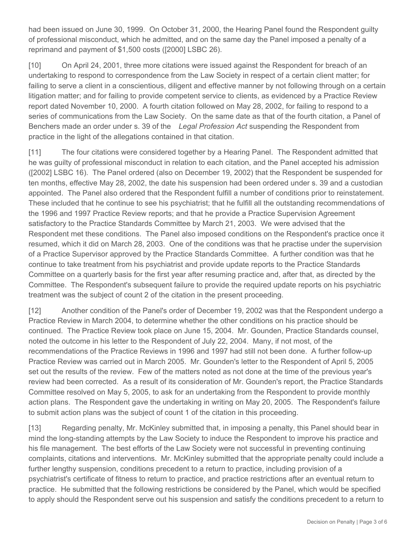had been issued on June 30, 1999. On October 31, 2000, the Hearing Panel found the Respondent guilty of professional misconduct, which he admitted, and on the same day the Panel imposed a penalty of a reprimand and payment of \$1,500 costs ([2000] LSBC 26).

[10] On April 24, 2001, three more citations were issued against the Respondent for breach of an undertaking to respond to correspondence from the Law Society in respect of a certain client matter; for failing to serve a client in a conscientious, diligent and effective manner by not following through on a certain litigation matter; and for failing to provide competent service to clients, as evidenced by a Practice Review report dated November 10, 2000. A fourth citation followed on May 28, 2002, for failing to respond to a series of communications from the Law Society. On the same date as that of the fourth citation, a Panel of Benchers made an order under s. 39 of the *Legal Profession Act* suspending the Respondent from practice in the light of the allegations contained in that citation.

[11] The four citations were considered together by a Hearing Panel. The Respondent admitted that he was guilty of professional misconduct in relation to each citation, and the Panel accepted his admission ([2002] LSBC 16). The Panel ordered (also on December 19, 2002) that the Respondent be suspended for ten months, effective May 28, 2002, the date his suspension had been ordered under s. 39 and a custodian appointed. The Panel also ordered that the Respondent fulfill a number of conditions prior to reinstatement. These included that he continue to see his psychiatrist; that he fulfill all the outstanding recommendations of the 1996 and 1997 Practice Review reports; and that he provide a Practice Supervision Agreement satisfactory to the Practice Standards Committee by March 21, 2003. We were advised that the Respondent met these conditions. The Panel also imposed conditions on the Respondent's practice once it resumed, which it did on March 28, 2003. One of the conditions was that he practise under the supervision of a Practice Supervisor approved by the Practice Standards Committee. A further condition was that he continue to take treatment from his psychiatrist and provide update reports to the Practice Standards Committee on a quarterly basis for the first year after resuming practice and, after that, as directed by the Committee. The Respondent's subsequent failure to provide the required update reports on his psychiatric treatment was the subject of count 2 of the citation in the present proceeding.

[12] Another condition of the Panel's order of December 19, 2002 was that the Respondent undergo a Practice Review in March 2004, to determine whether the other conditions on his practice should be continued. The Practice Review took place on June 15, 2004. Mr. Gounden, Practice Standards counsel, noted the outcome in his letter to the Respondent of July 22, 2004. Many, if not most, of the recommendations of the Practice Reviews in 1996 and 1997 had still not been done. A further follow-up Practice Review was carried out in March 2005. Mr. Gounden's letter to the Respondent of April 5, 2005 set out the results of the review. Few of the matters noted as not done at the time of the previous year's review had been corrected. As a result of its consideration of Mr. Gounden's report, the Practice Standards Committee resolved on May 5, 2005, to ask for an undertaking from the Respondent to provide monthly action plans. The Respondent gave the undertaking in writing on May 20, 2005. The Respondent's failure to submit action plans was the subject of count 1 of the citation in this proceeding.

[13] Regarding penalty, Mr. McKinley submitted that, in imposing a penalty, this Panel should bear in mind the long-standing attempts by the Law Society to induce the Respondent to improve his practice and his file management. The best efforts of the Law Society were not successful in preventing continuing complaints, citations and interventions. Mr. McKinley submitted that the appropriate penalty could include a further lengthy suspension, conditions precedent to a return to practice, including provision of a psychiatrist's certificate of fitness to return to practice, and practice restrictions after an eventual return to practice. He submitted that the following restrictions be considered by the Panel, which would be specified to apply should the Respondent serve out his suspension and satisfy the conditions precedent to a return to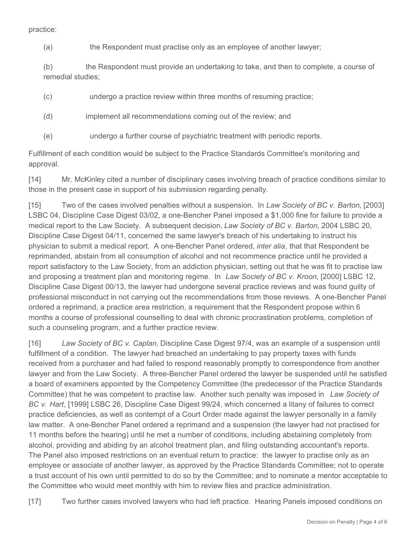practice:

(a) the Respondent must practise only as an employee of another lawyer;

(b) the Respondent must provide an undertaking to take, and then to complete, a course of remedial studies;

- (c) undergo a practice review within three months of resuming practice;
- (d) implement all recommendations coming out of the review; and
- (e) undergo a further course of psychiatric treatment with periodic reports.

Fulfillment of each condition would be subject to the Practice Standards Committee's monitoring and approval.

[14] Mr. McKinley cited a number of disciplinary cases involving breach of practice conditions similar to those in the present case in support of his submission regarding penalty.

[15] Two of the cases involved penalties without a suspension. In *Law Society of BC v. Barton*, [2003] LSBC 04, Discipline Case Digest 03/02, a one-Bencher Panel imposed a \$1,000 fine for failure to provide a medical report to the Law Society. A subsequent decision, *Law Society of BC v. Barton*, 2004 LSBC 20, Discipline Case Digest 04/11, concerned the same lawyer's breach of his undertaking to instruct his physician to submit a medical report. A one-Bencher Panel ordered, *inter alia*, that that Respondent be reprimanded, abstain from all consumption of alcohol and not recommence practice until he provided a report satisfactory to the Law Society, from an addiction physician, setting out that he was fit to practise law and proposing a treatment plan and monitoring regime. In *Law Society of BC v. Kroon*, [2000] LSBC 12, Discipline Case Digest 00/13, the lawyer had undergone several practice reviews and was found guilty of professional misconduct in not carrying out the recommendations from those reviews. A one-Bencher Panel ordered a reprimand, a practice area restriction, a requirement that the Respondent propose within 6 months a course of professional counselling to deal with chronic procrastination problems, completion of such a counseling program, and a further practice review.

[16] *Law Society of BC v. Caplan*, Discipline Case Digest 97/4, was an example of a suspension until fulfillment of a condition. The lawyer had breached an undertaking to pay property taxes with funds received from a purchaser and had failed to respond reasonably promptly to correspondence from another lawyer and from the Law Society. A three-Bencher Panel ordered the lawyer be suspended until he satisfied a board of examiners appointed by the Competency Committee (the predecessor of the Practice Standards Committee) that he was competent to practise law. Another such penalty was imposed in *Law Society of BC v. Hart*, [1999] LSBC 26, Discipline Case Digest 99/24, which concerned a litany of failures to correct practice deficiencies, as well as contempt of a Court Order made against the lawyer personally in a family law matter. A one-Bencher Panel ordered a reprimand and a suspension (the lawyer had not practised for 11 months before the hearing) until he met a number of conditions, including abstaining completely from alcohol, providing and abiding by an alcohol treatment plan, and filing outstanding accountant's reports. The Panel also imposed restrictions on an eventual return to practice: the lawyer to practise only as an employee or associate of another lawyer, as approved by the Practice Standards Committee; not to operate a trust account of his own until permitted to do so by the Committee; and to nominate a mentor acceptable to the Committee who would meet monthly with him to review files and practice administration.

[17] Two further cases involved lawyers who had left practice. Hearing Panels imposed conditions on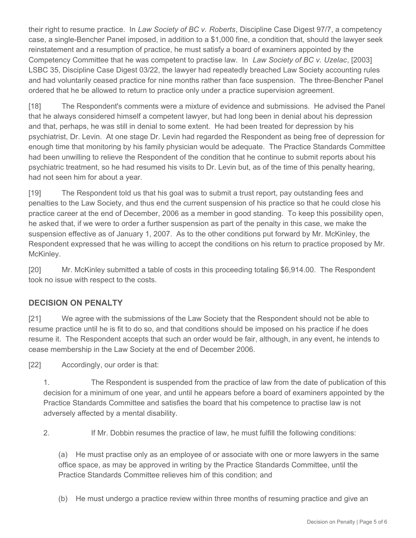their right to resume practice. In *Law Society of BC v. Roberts*, Discipline Case Digest 97/7, a competency case, a single-Bencher Panel imposed, in addition to a \$1,000 fine, a condition that, should the lawyer seek reinstatement and a resumption of practice, he must satisfy a board of examiners appointed by the Competency Committee that he was competent to practise law. In *Law Society of BC v. Uzelac*, [2003] LSBC 35, Discipline Case Digest 03/22, the lawyer had repeatedly breached Law Society accounting rules and had voluntarily ceased practice for nine months rather than face suspension. The three-Bencher Panel ordered that he be allowed to return to practice only under a practice supervision agreement.

[18] The Respondent's comments were a mixture of evidence and submissions. He advised the Panel that he always considered himself a competent lawyer, but had long been in denial about his depression and that, perhaps, he was still in denial to some extent. He had been treated for depression by his psychiatrist, Dr. Levin. At one stage Dr. Levin had regarded the Respondent as being free of depression for enough time that monitoring by his family physician would be adequate. The Practice Standards Committee had been unwilling to relieve the Respondent of the condition that he continue to submit reports about his psychiatric treatment, so he had resumed his visits to Dr. Levin but, as of the time of this penalty hearing, had not seen him for about a year.

[19] The Respondent told us that his goal was to submit a trust report, pay outstanding fees and penalties to the Law Society, and thus end the current suspension of his practice so that he could close his practice career at the end of December, 2006 as a member in good standing. To keep this possibility open, he asked that, if we were to order a further suspension as part of the penalty in this case, we make the suspension effective as of January 1, 2007. As to the other conditions put forward by Mr. McKinley, the Respondent expressed that he was willing to accept the conditions on his return to practice proposed by Mr. McKinley.

[20] Mr. McKinley submitted a table of costs in this proceeding totaling \$6,914.00. The Respondent took no issue with respect to the costs.

## **DECISION ON PENALTY**

[21] We agree with the submissions of the Law Society that the Respondent should not be able to resume practice until he is fit to do so, and that conditions should be imposed on his practice if he does resume it. The Respondent accepts that such an order would be fair, although, in any event, he intends to cease membership in the Law Society at the end of December 2006.

[22] Accordingly, our order is that:

1. The Respondent is suspended from the practice of law from the date of publication of this decision for a minimum of one year, and until he appears before a board of examiners appointed by the Practice Standards Committee and satisfies the board that his competence to practise law is not adversely affected by a mental disability.

2. If Mr. Dobbin resumes the practice of law, he must fulfill the following conditions:

(a) He must practise only as an employee of or associate with one or more lawyers in the same office space, as may be approved in writing by the Practice Standards Committee, until the Practice Standards Committee relieves him of this condition; and

(b) He must undergo a practice review within three months of resuming practice and give an